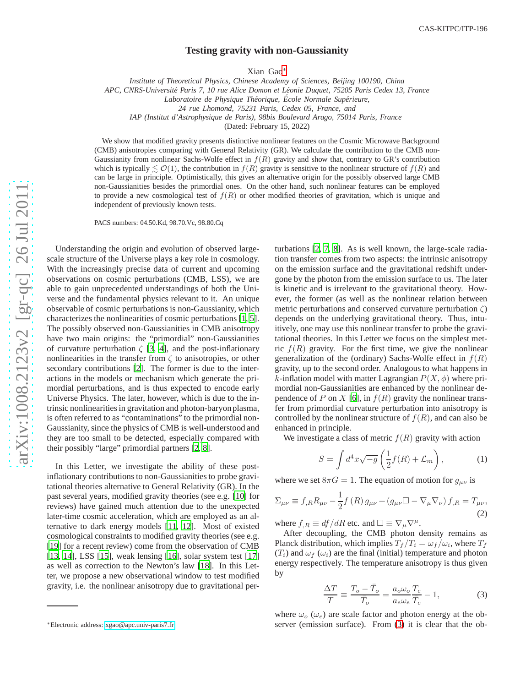## **Testing gravity with non-Gaussianity**

Xian Gao [∗](#page-0-0)

*Institute of Theoretical Physics, Chinese Academy of Sciences, Beijing 100190, China*

*APC, CNRS-Universit´e Paris 7, 10 rue Alice Domon et L´eonie Duquet, 75205 Paris Cedex 13, France*

*Laboratoire de Physique Th´eorique, Ecole Normale Sup´erieure, ´*

*IAP (Institut d'Astrophysique de Paris), 98bis Boulevard Arago, 75014 Paris, France*

(Dated: February 15, 2022)

We show that modified gravity presents distinctive nonlinear features on the Cosmic Microwave Background (CMB) anisotropies comparing with General Relativity (GR). We calculate the contribution to the CMB non-Gaussianity from nonlinear Sachs-Wolfe effect in  $f(R)$  gravity and show that, contrary to GR's contribution which is typically  $\lesssim \mathcal{O}(1)$ , the contribution in  $f(R)$  gravity is sensitive to the nonlinear structure of  $f(R)$  and can be large in principle. Optimistically, this gives an alternative origin for the possibly observed large CMB non-Gaussianities besides the primordial ones. On the other hand, such nonlinear features can be employed to provide a new cosmological test of  $f(R)$  or other modified theories of gravitation, which is unique and independent of previously known tests.

PACS numbers: 04.50.Kd, 98.70.Vc, 98.80.Cq

Understanding the origin and evolution of observed largescale structure of the Universe plays a key role in cosmology. With the increasingly precise data of current and upcoming observations on cosmic perturbations (CMB, LSS), we are able to gain unprecedented understandings of both the Universe and the fundamental physics relevant to it. An unique observable of cosmic perturbations is non-Gaussianity, which characterizes the nonlinearities of cosmic perturbations[\[1,](#page-3-0) [5](#page-3-1)]. The possibly observed non-Gaussianities in CMB anisotropy have two main origins: the "primordial" non-Gaussianities of curvature perturbation  $\zeta$  [\[3](#page-3-2), [4\]](#page-3-3), and the post-inflationary nonlinearities in the transfer from  $\zeta$  to anisotropies, or other secondary contributions [\[2\]](#page-3-4). The former is due to the interactions in the models or mechanism which generate the primordial perturbations, and is thus expected to encode early Universe Physics. The later, however, which is due to the intrinsic nonlinearities in gravitation and photon-baryon plasma, is often referred to as "contaminations" to the primordial non-Gaussianity, since the physics of CMB is well-understood and they are too small to be detected, especially compared with their possibly "large" primordial partners [\[2,](#page-3-4) [8\]](#page-3-5).

In this Letter, we investigate the ability of these postinflationary contributions to non-Gaussianities to probe gravitational theories alternative to General Relativity (GR). In the past several years, modified gravity theories (see e.g. [\[10\]](#page-3-6) for reviews) have gained much attention due to the unexpected later-time cosmic acceleration, which are employed as an al ternative to dark energy models [\[11,](#page-3-7) [12](#page-3-8)]. Most of existed cosmological constraints to modified gravity theories (see e.g. [\[19](#page-3-9)] for a recent review) come from the observation of CMB [\[13](#page-3-10), [14\]](#page-3-11), LSS [\[15](#page-3-12)], weak lensing [\[16\]](#page-3-13), solar system test [\[17\]](#page-3-14) as well as correction to the Newton's law [\[18](#page-3-15)]. In this Letter, we propose a new observational window to test modified gravity, i.e. the nonlinear anisotropy due to gravitational per-

turbations [\[2](#page-3-4), [7,](#page-3-16) [8\]](#page-3-5). As is well known, the large-scale radia tion transfer comes from two aspects: the intrinsic anisotropy on the emission surface and the gravitational redshift undergone by the photon from the emission surface to us. The later is kinetic and is irrelevant to the gravitational theory. However, the former (as well as the nonlinear relation between metric perturbations and conserved curvature perturbation  $\zeta$ ) depends on the underlying gravitational theory. Thus, intu itively, one may use this nonlinear transfer to probe the gravitational theories. In this Letter we focus on the simplest metric  $f(R)$  gravity. For the first time, we give the nonlinear generalization of the (ordinary) Sachs-Wolfe effect in  $f(R)$ gravity, up to the second order. Analogous to what happens in k-inflation model with matter Lagrangian  $P(X, \phi)$  where primordial non-Gaussianities are enhanced by the nonlinear de-pendence of P on X [\[6](#page-3-17)], in  $f(R)$  gravity the nonlinear transfer from primordial curvature perturbation into anisotropy is controlled by the nonlinear structure of  $f(R)$ , and can also be enhanced in principle.

We investigate a class of metric  $f(R)$  gravity with action

$$
S = \int d^4x \sqrt{-g} \left( \frac{1}{2} f(R) + \mathcal{L}_m \right), \tag{1}
$$

where we set  $8\pi G = 1$ . The equation of motion for  $g_{\mu\nu}$  is

<span id="page-0-2"></span>
$$
\Sigma_{\mu\nu} \equiv f_{,R} R_{\mu\nu} - \frac{1}{2} f(R) g_{\mu\nu} + (g_{\mu\nu} \Box - \nabla_{\mu} \nabla_{\nu}) f_{,R} = T_{\mu\nu},
$$
\n(2)

where  $f_{,R} \equiv df/dR$  etc. and  $\square \equiv \nabla_{\mu} \nabla^{\mu}$ .

After decoupling, the CMB photon density remains as Planck distribution, which implies  $T_f/T_i = \omega_f/\omega_i$ , where  $T_f$  $(T_i)$  and  $\omega_f(\omega_i)$  are the final (initial) temperature and photon energy respectively. The temperature anisotropy is thus given by

<span id="page-0-1"></span>
$$
\frac{\Delta T}{T} \equiv \frac{T_o - \bar{T}_o}{\bar{T}_o} = \frac{a_o \omega_o}{a_e \omega_e} \frac{T_e}{\bar{T}_e} - 1,\tag{3}
$$

where  $\omega_o$  ( $\omega_e$ ) are scale factor and photon energy at the observer (emission surface). From [\(3\)](#page-0-1) it is clear that the ob-

*<sup>24</sup> rue Lhomond, 75231 Paris, Cedex 05, France, and*

<span id="page-0-0"></span><sup>∗</sup>Electronic address: [xgao@apc.univ-paris7.fr](mailto:xgao@apc.univ-paris7.fr)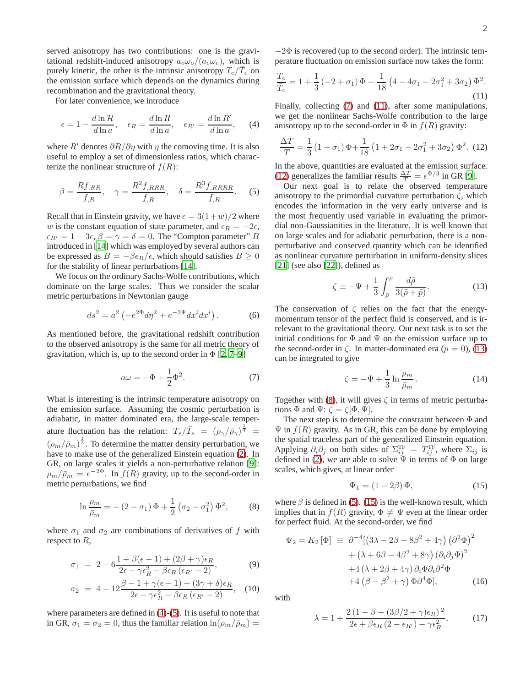served anisotropy has two contributions: one is the gravitational redshift-induced anisotropy  $a_o\omega_o/(a_e\omega_e)$ , which is purely kinetic, the other is the intrinsic anisotropy  $T_e/\bar{T}_e$  on the emission surface which depends on the dynamics during recombination and the gravitational theory.

For later convenience, we introduce

<span id="page-1-0"></span>
$$
\epsilon = 1 - \frac{d \ln \mathcal{H}}{d \ln a}, \quad \epsilon_R = \frac{d \ln R}{d \ln a}, \quad \epsilon_{R'} = \frac{d \ln R'}{d \ln a}, \quad (4)
$$

where R' denotes  $\partial R/\partial \eta$  with  $\eta$  the comoving time. It is also useful to employ a set of dimensionless ratios, which characterize the nonlinear structure of  $f(R)$ :

<span id="page-1-1"></span>
$$
\beta = \frac{Rf_{,RR}}{f_{,R}}, \quad \gamma = \frac{R^2f_{,RRR}}{f_{,R}}, \quad \delta = \frac{R^3f_{,RRRR}}{f_{,R}}.
$$
 (5)

Recall that in Einstein gravity, we have  $\epsilon = 3(1+w)/2$  where w is the constant equation of state parameter, and  $\epsilon_R = -2\epsilon$ ,  $\epsilon_{R'} = 1 - 3\epsilon$ ,  $\beta = \gamma = \delta = 0$ . The "Compton parameter" B introduced in [\[14\]](#page-3-11) which was employed by several authors can be expressed as  $B = -\beta \epsilon_R / \epsilon$ , which should satisfies  $B \ge 0$ for the stability of linear perturbations [\[14\]](#page-3-11).

We focus on the ordinary Sachs-Wolfe contributions, which dominate on the large scales. Thus we consider the scalar metric perturbations in Newtonian gauge

$$
ds^{2} = a^{2} \left( -e^{2\Phi} d\eta^{2} + e^{-2\Psi} dx^{i} dx^{i} \right). \tag{6}
$$

As mentioned before, the gravitational redshift contribution to the observed anisotropy is the same for all metric theory of gravitation, which is, up to the second order in  $\Phi$  [\[2,](#page-3-4) [7](#page-3-16)[–9\]](#page-3-18)

<span id="page-1-2"></span>
$$
a\omega = -\Phi + \frac{1}{2}\Phi^2.
$$
 (7)

What is interesting is the intrinsic temperature anisotropy on the emission surface. Assuming the cosmic perturbation is adiabatic, in matter dominated era, the large-scale temperature fluctuation has the relation:  $T_e/\bar{T}_e = (\rho_\gamma/\bar{\rho}_\gamma)^{\frac{1}{4}}$  $(\rho_m/\bar{\rho}_m)^{\frac{1}{3}}$ . To determine the matter density perturbation, we have to make use of the generalized Einstein equation [\(2\)](#page-0-2). In GR, on large scales it yields a non-perturbative relation [\[9](#page-3-18)]:  $\rho_m/\bar{\rho}_m = e^{-2\Phi}$ . In  $f(R)$  gravity, up to the second-order in metric perturbations, we find

<span id="page-1-6"></span>
$$
\ln \frac{\rho_m}{\bar{\rho}_m} = -(2 - \sigma_1) \Phi + \frac{1}{2} (\sigma_2 - \sigma_1^2) \Phi^2, \tag{8}
$$

where  $\sigma_1$  and  $\sigma_2$  are combinations of derivatives of f with respect to  $R$ ,

$$
\sigma_1 = 2 - 6 \frac{1 + \beta(\epsilon - 1) + (2\beta + \gamma)\epsilon_R}{2\epsilon - \gamma \epsilon_R^2 - \beta \epsilon_R (\epsilon_{R'} - 2)},
$$
\n(9)

$$
\sigma_2 = 4 + 12 \frac{\beta - 1 + \gamma(\epsilon - 1) + (3\gamma + \delta)\epsilon_R}{2\epsilon - \gamma \epsilon_R^2 - \beta\epsilon_R(\epsilon_{R'} - 2)}, \quad (10)
$$

where parameters are defined in [\(4\)](#page-1-0)-[\(5\)](#page-1-1). It is useful to note that in GR,  $\sigma_1 = \sigma_2 = 0$ , thus the familiar relation  $\ln(\rho_m/\overline{\rho}_m) =$ 

 $-2\Phi$  is recovered (up to the second order). The intrinsic temperature fluctuation on emission surface now takes the form:

<span id="page-1-3"></span>
$$
\frac{T_e}{\bar{T}_e} = 1 + \frac{1}{3} \left( -2 + \sigma_1 \right) \Phi + \frac{1}{18} \left( 4 - 4\sigma_1 - 2\sigma_1^2 + 3\sigma_2 \right) \Phi^2.
$$
\n(11)

Finally, collecting [\(7\)](#page-1-2) and [\(11\)](#page-1-3), after some manipulations, we get the nonlinear Sachs-Wolfe contribution to the large anisotropy up to the second-order in  $\Phi$  in  $f(R)$  gravity:

<span id="page-1-4"></span>
$$
\frac{\Delta T}{T} = \frac{1}{3} \left( 1 + \sigma_1 \right) \Phi + \frac{1}{18} \left( 1 + 2\sigma_1 - 2\sigma_1^2 + 3\sigma_2 \right) \Phi^2.
$$
 (12)

In the above, quantities are evaluated at the emission surface. [\(12\)](#page-1-4) generalizes the familiar results  $\frac{\Delta T}{T} = e^{\Phi/3}$  in GR [\[9\]](#page-3-18).

Our next goal is to relate the observed temperature anisotropy to the primordial curvature perturbation  $\zeta$ , which encodes the information in the very early universe and is the most frequently used variable in evaluating the primordial non-Gaussianities in the literature. It is well known that on large scales and for adiabatic perturbation, there is a nonperturbative and conserved quantity which can be identified as nonlinear curvature perturbation in uniform-density slices [\[21](#page-3-19)] (see also [\[22\]](#page-3-20)), defined as

<span id="page-1-5"></span>
$$
\zeta \equiv -\Psi + \frac{1}{3} \int_{\bar{\rho}}^{\rho} \frac{d\tilde{\rho}}{3(\tilde{\rho} + \tilde{p})}.
$$
 (13)

The conservation of  $\zeta$  relies on the fact that the energymomentum tensor of the perfect fluid is conserved, and is irrelevant to the gravitational theory. Our next task is to set the initial conditions for  $\Phi$  and  $\Psi$  on the emission surface up to the second-order in  $\zeta$ . In matter-dominated era ( $p = 0$ ), [\(13\)](#page-1-5) can be integrated to give

<span id="page-1-9"></span>
$$
\zeta = -\Psi + \frac{1}{3} \ln \frac{\rho_m}{\bar{\rho}_m}.
$$
\n(14)

Together with [\(8\)](#page-1-6), it will gives  $\zeta$  in terms of metric perturbations  $\Phi$  and  $\Psi$ :  $\zeta = \zeta[\Phi, \Psi]$ .

The next step is to determine the constraint between  $\Phi$  and  $\Psi$  in  $f(R)$  gravity. As in GR, this can be done by employing the spatial traceless part of the generalized Einstein equation. Applying  $\partial_i \partial_j$  on both sides of  $\Sigma_{ij}^{\text{TF}} = T_{ij}^{\text{TF}}$ , where  $\Sigma_{ij}$  is defined in [\(2\)](#page-0-2), we are able to solve  $\Psi$  in terms of  $\Phi$  on large scales, which gives, at linear order

<span id="page-1-7"></span>
$$
\Psi_1 = (1 - 2\beta) \Phi,\tag{15}
$$

where  $\beta$  is defined in [\(5\)](#page-1-1). [\(15\)](#page-1-7) is the well-known result, which implies that in  $f(R)$  gravity,  $\Phi \neq \Psi$  even at the linear order for perfect fluid. At the second-order, we find

<span id="page-1-8"></span>
$$
\Psi_2 = K_2 [\Phi] \equiv \partial^{-4} [(3\lambda - 2\beta + 8\beta^2 + 4\gamma) (\partial^2 \Phi)^2
$$
  
+  $(\lambda + 6\beta - 4\beta^2 + 8\gamma) (\partial_i \partial_j \Phi)^2$   
+  $4(\lambda + 2\beta + 4\gamma) \partial_i \Phi \partial_i \partial^2 \Phi$   
+  $4(\beta - \beta^2 + \gamma) \Phi \partial^4 \Phi],$  (16)

with

$$
\lambda = 1 + \frac{2\left(1 - \beta + (3\beta/2 + \gamma)\epsilon_R\right)^2}{2\epsilon + \beta\epsilon_R\left(2 - \epsilon_{R'}\right) - \gamma\epsilon_R^2},\tag{17}
$$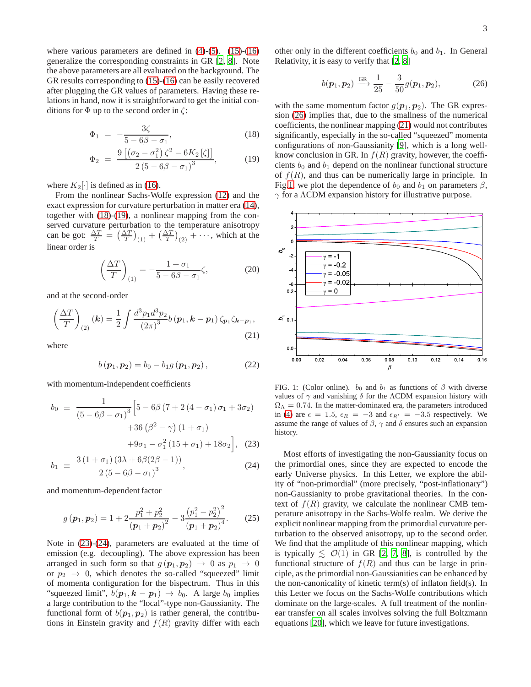where various parameters are defined in  $(4)-(5)$  $(4)-(5)$  $(4)-(5)$ .  $(15)-(16)$  $(15)-(16)$ generalize the corresponding constraints in GR [\[2](#page-3-4), [8](#page-3-5)]. Note the above parameters are all evaluated on the background. The GR results corresponding to [\(15\)](#page-1-7)-[\(16\)](#page-1-8) can be easily recovered after plugging the GR values of parameters. Having these relations in hand, now it is straightforward to get the initial conditions for  $\Phi$  up to the second order in  $\zeta$ :

<span id="page-2-0"></span>
$$
\Phi_1 = -\frac{3\zeta}{5 - 6\beta - \sigma_1},\tag{18}
$$

$$
\Phi_2 = \frac{9 [(\sigma_2 - \sigma_1^2) \zeta^2 - 6K_2[\zeta]]}{2 (5 - 6\beta - \sigma_1)^3},
$$
(19)

where  $K_2[\cdot]$  is defined as in [\(16\)](#page-1-8).

From the nonlinear Sachs-Wolfe expression [\(12\)](#page-1-4) and the exact expression for curvature perturbation in matter era [\(14\)](#page-1-9), together with [\(18\)](#page-2-0)-[\(19\)](#page-2-0), a nonlinear mapping from the conserved curvature perturbation to the temperature anisotropy can be got:  $\frac{\Delta T}{T} = \left(\frac{\Delta T}{T}\right)_{(1)} + \left(\frac{\Delta T}{T}\right)_{(2)} + \cdots$ , which at the linear order is

$$
\left(\frac{\Delta T}{T}\right)_{(1)} = -\frac{1+\sigma_1}{5-6\beta-\sigma_1}\zeta,\tag{20}
$$

and at the second-order

<span id="page-2-3"></span>
$$
\left(\frac{\Delta T}{T}\right)_{(2)}(\mathbf{k}) = \frac{1}{2} \int \frac{d^3 p_1 d^3 p_2}{(2\pi)^3} b(\mathbf{p}_1, \mathbf{k} - \mathbf{p}_1) \zeta_{\mathbf{p}_1} \zeta_{\mathbf{k} - \mathbf{p}_1},
$$
\n(21)

where

$$
b(p_1, p_2) = b_0 - b_1 g(p_1, p_2), \qquad (22)
$$

with momentum-independent coefficients

<span id="page-2-1"></span>
$$
b_0 \equiv \frac{1}{(5 - 6\beta - \sigma_1)^3} \Big[ 5 - 6\beta (7 + 2(4 - \sigma_1)\sigma_1 + 3\sigma_2) + 36(\beta^2 - \gamma)(1 + \sigma_1) + 9\sigma_1 - \sigma_1^2 (15 + \sigma_1) + 18\sigma_2 \Big], \quad (23)
$$

$$
b_1 \equiv \frac{3(1+\sigma_1)(3\lambda+6\beta(2\beta-1))}{2(5-6\beta-\sigma_1)^3},
$$
 (24)

and momentum-dependent factor

<span id="page-2-5"></span>
$$
g\left(\boldsymbol{p}_1,\boldsymbol{p}_2\right) = 1 + 2\frac{p_1^2 + p_2^2}{\left(\boldsymbol{p}_1 + \boldsymbol{p}_2\right)^2} - 3\frac{\left(p_1^2 - p_2^2\right)^2}{\left(\boldsymbol{p}_1 + \boldsymbol{p}_2\right)^4}.
$$
 (25)

Note in [\(23\)](#page-2-1)-[\(24\)](#page-2-1), parameters are evaluated at the time of emission (e.g. decoupling). The above expression has been arranged in such form so that  $g(p_1, p_2) \rightarrow 0$  as  $p_1 \rightarrow 0$ or  $p_2 \rightarrow 0$ , which denotes the so-called "squeezed" limit of momenta configuration for the bispectrum. Thus in this "squeezed limit",  $b(\mathbf{p}_1, \mathbf{k} - \mathbf{p}_1) \rightarrow b_0$ . A large  $b_0$  implies a large contribution to the "local"-type non-Gaussianity. The functional form of  $b(\mathbf{p}_1, \mathbf{p}_2)$  is rather general, the contributions in Einstein gravity and  $f(R)$  gravity differ with each

other only in the different coefficients  $b_0$  and  $b_1$ . In General Relativity, it is easy to verify that [\[2,](#page-3-4) [8\]](#page-3-5)

<span id="page-2-2"></span>
$$
b(\boldsymbol{p}_1,\boldsymbol{p}_2) \xrightarrow{\text{GR}} \frac{1}{25} - \frac{3}{50}g(\boldsymbol{p}_1,\boldsymbol{p}_2),\tag{26}
$$

with the same momentum factor  $g(\mathbf{p}_1, \mathbf{p}_2)$ . The GR expression [\(26\)](#page-2-2) implies that, due to the smallness of the numerical coefficients, the nonlinear mapping [\(21\)](#page-2-3) would not contributes significantly, especially in the so-called "squeezed" momenta configurations of non-Gaussianity [\[9\]](#page-3-18), which is a long wellknow conclusion in GR. In  $f(R)$  gravity, however, the coefficients  $b_0$  and  $b_1$  depend on the nonlinear functional structure of  $f(R)$ , and thus can be numerically large in principle. In Fig[.1,](#page-2-4) we plot the dependence of  $b_0$  and  $b_1$  on parameters  $\beta$ ,  $\gamma$  for a  $\Lambda$ CDM expansion history for illustrative purpose.



<span id="page-2-4"></span>FIG. 1: (Color online).  $b_0$  and  $b_1$  as functions of  $\beta$  with diverse values of  $\gamma$  and vanishing  $\delta$  for the  $\Lambda$ CDM expansion history with  $\Omega_{\Lambda} = 0.74$ . In the matter-dominated era, the parameters introduced in [\(4\)](#page-1-0) are  $\epsilon = 1.5$ ,  $\epsilon_R = -3$  and  $\epsilon_{R'} = -3.5$  respectively. We assume the range of values of  $\beta$ ,  $\gamma$  and  $\delta$  ensures such an expansion history.

Most efforts of investigating the non-Gaussianity focus on the primordial ones, since they are expected to encode the early Universe physics. In this Letter, we explore the ability of "non-primordial" (more precisely, "post-inflationary") non-Gaussianity to probe gravitational theories. In the context of  $f(R)$  gravity, we calculate the nonlinear CMB temperature anisotropy in the Sachs-Wolfe realm. We derive the explicit nonlinear mapping from the primordial curvature perturbation to the observed anisotropy, up to the second order. We find that the amplitude of this nonlinear mapping, which is typically  $\leq O(1)$  in GR [\[2](#page-3-4), [7](#page-3-16), [8](#page-3-5)], is controlled by the functional structure of  $f(R)$  and thus can be large in principle, as the primordial non-Gaussianities can be enhanced by the non-canonicality of kinetic term(s) of inflaton field(s). In this Letter we focus on the Sachs-Wolfe contributions which dominate on the large-scales. A full treatment of the nonlinear transfer on all scales involves solving the full Boltzmann equations [\[20\]](#page-3-21), which we leave for future investigations.